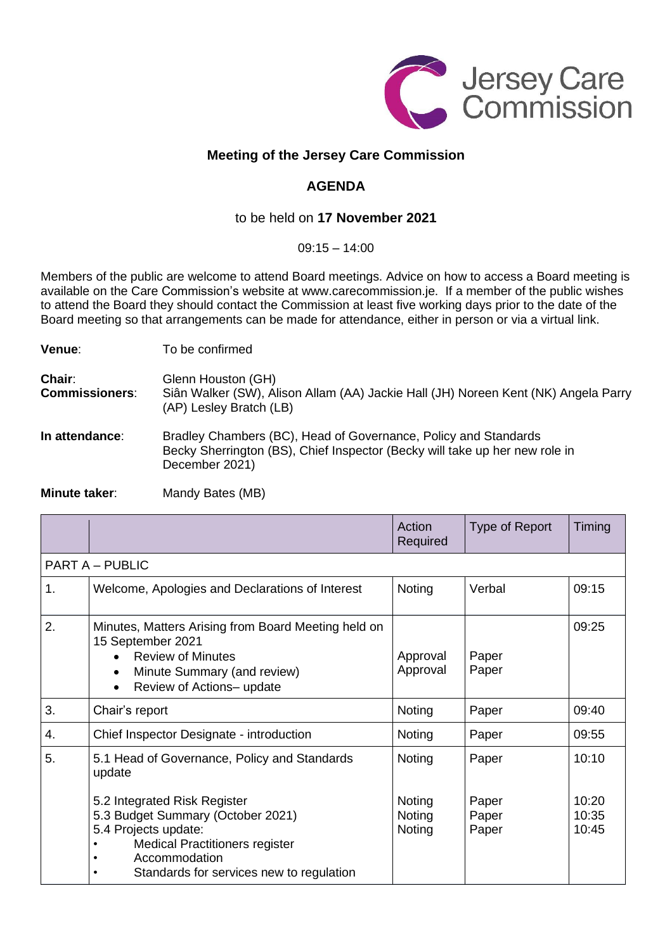

## **Meeting of the Jersey Care Commission**

## **AGENDA**

## to be held on **17 November 2021**

 $09.15 - 14.00$ 

Members of the public are welcome to attend Board meetings. Advice on how to access a Board meeting is available on the Care Commission's website at www.carecommission.je. If a member of the public wishes to attend the Board they should contact the Commission at least five working days prior to the date of the Board meeting so that arrangements can be made for attendance, either in person or via a virtual link.

**Venue:** To be confirmed

**Chair:** Glenn Houston (GH) **Commissioners**: Siân Walker (SW), Alison Allam (AA) Jackie Hall (JH) Noreen Kent (NK) Angela Parry (AP) Lesley Bratch (LB)

**In attendance:** Bradley Chambers (BC), Head of Governance, Policy and Standards Becky Sherrington (BS), Chief Inspector (Becky will take up her new role in December 2021)

**Minute taker:** Mandy Bates (MB)

|                                                                                                                                                                                                               | Action<br>Required                       | Type of Report                   | Timing                           |  |  |  |  |
|---------------------------------------------------------------------------------------------------------------------------------------------------------------------------------------------------------------|------------------------------------------|----------------------------------|----------------------------------|--|--|--|--|
| <b>PART A - PUBLIC</b>                                                                                                                                                                                        |                                          |                                  |                                  |  |  |  |  |
| Welcome, Apologies and Declarations of Interest                                                                                                                                                               | Noting                                   | Verbal                           | 09:15                            |  |  |  |  |
| Minutes, Matters Arising from Board Meeting held on<br>15 September 2021<br><b>Review of Minutes</b><br>Minute Summary (and review)<br>$\bullet$<br>Review of Actions- update<br>$\bullet$                    | Approval<br>Approval                     | Paper<br>Paper                   | 09:25                            |  |  |  |  |
| Chair's report                                                                                                                                                                                                | Noting                                   | Paper                            | 09:40                            |  |  |  |  |
| Chief Inspector Designate - introduction                                                                                                                                                                      | Noting                                   | Paper                            | 09:55                            |  |  |  |  |
| 5.1 Head of Governance, Policy and Standards<br>update<br>5.2 Integrated Risk Register<br>5.3 Budget Summary (October 2021)<br>5.4 Projects update:<br><b>Medical Practitioners register</b><br>Accommodation | Noting<br>Noting<br>Noting<br>Noting     | Paper<br>Paper<br>Paper<br>Paper | 10:10<br>10:20<br>10:35<br>10:45 |  |  |  |  |
|                                                                                                                                                                                                               | Standards for services new to regulation |                                  |                                  |  |  |  |  |